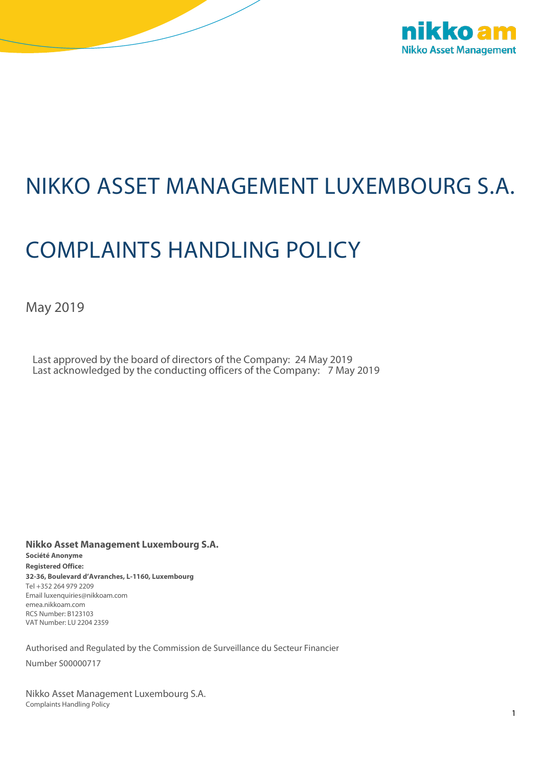

## NIKKO ASSET MANAGEMENT LUXEMBOURG S.A.

# COMPLAINTS HANDLING POLICY

May 2019

Last approved by the board of directors of the Company: 24 May 2019 Last acknowledged by the conducting officers of the Company: 7 May 2019

**Nikko Asset Management Luxembourg S.A. Société Anonyme Registered Office: 32-36, Boulevard d'Avranches, L-1160, Luxembourg** Tel +352 264 979 2209 Email luxenquiries@nikkoam.com emea.nikkoam.com RCS Number: B123103 VAT Number: LU 2204 2359

Authorised and Regulated by the Commission de Surveillance du Secteur Financier

Number S00000717

Nikko Asset Management Luxembourg S.A. Complaints Handling Policy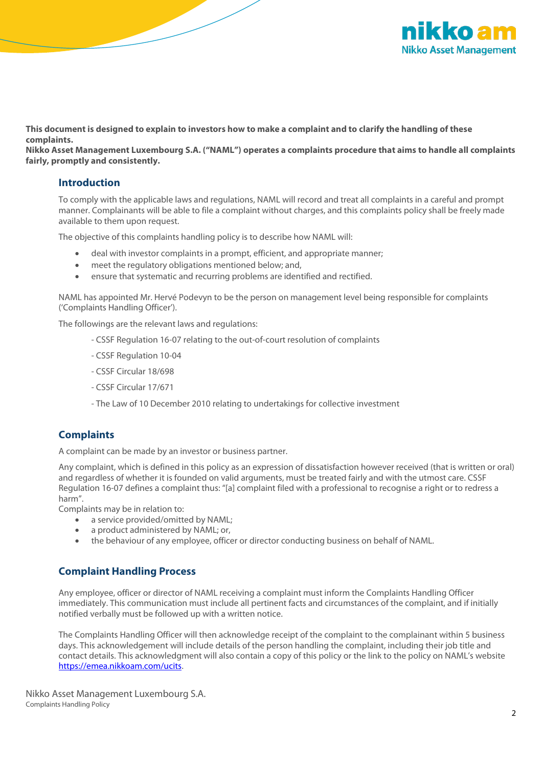

**This document is designed to explain to investors how to make a complaint and to clarify the handling of these complaints.**

**Nikko Asset Management Luxembourg S.A. ("NAML") operates a complaints procedure that aims to handle all complaints fairly, promptly and consistently.**

#### **Introduction**

To comply with the applicable laws and regulations, NAML will record and treat all complaints in a careful and prompt manner. Complainants will be able to file a complaint without charges, and this complaints policy shall be freely made available to them upon request.

The objective of this complaints handling policy is to describe how NAML will:

- deal with investor complaints in a prompt, efficient, and appropriate manner;
- meet the regulatory obligations mentioned below; and,
- ensure that systematic and recurring problems are identified and rectified.

NAML has appointed Mr. Hervé Podevyn to be the person on management level being responsible for complaints ('Complaints Handling Officer').

The followings are the relevant laws and regulations:

- CSSF Regulation 16-07 relating to the out-of-court resolution of complaints
- CSSF Regulation 10-04
- CSSF Circular 18/698
- CSSF Circular 17/671
- The Law of 10 December 2010 relating to undertakings for collective investment

#### **Complaints**

A complaint can be made by an investor or business partner.

Any complaint, which is defined in this policy as an expression of dissatisfaction however received (that is written or oral) and regardless of whether it is founded on valid arguments, must be treated fairly and with the utmost care. CSSF Regulation 16-07 defines a complaint thus: "[a] complaint filed with a professional to recognise a right or to redress a harm".

Complaints may be in relation to:

- a service provided/omitted by NAML:
- a product administered by NAML; or,
- the behaviour of any employee, officer or director conducting business on behalf of NAML.

### **Complaint Handling Process**

Any employee, officer or director of NAML receiving a complaint must inform the Complaints Handling Officer immediately. This communication must include all pertinent facts and circumstances of the complaint, and if initially notified verbally must be followed up with a written notice.

The Complaints Handling Officer will then acknowledge receipt of the complaint to the complainant within 5 business days. This acknowledgement will include details of the person handling the complaint, including their job title and contact details. This acknowledgment will also contain a copy of this policy or the link to the policy on NAML's website [https://emea.nikkoam.com/ucits.](https://emea.nikkoam.com/ucits)